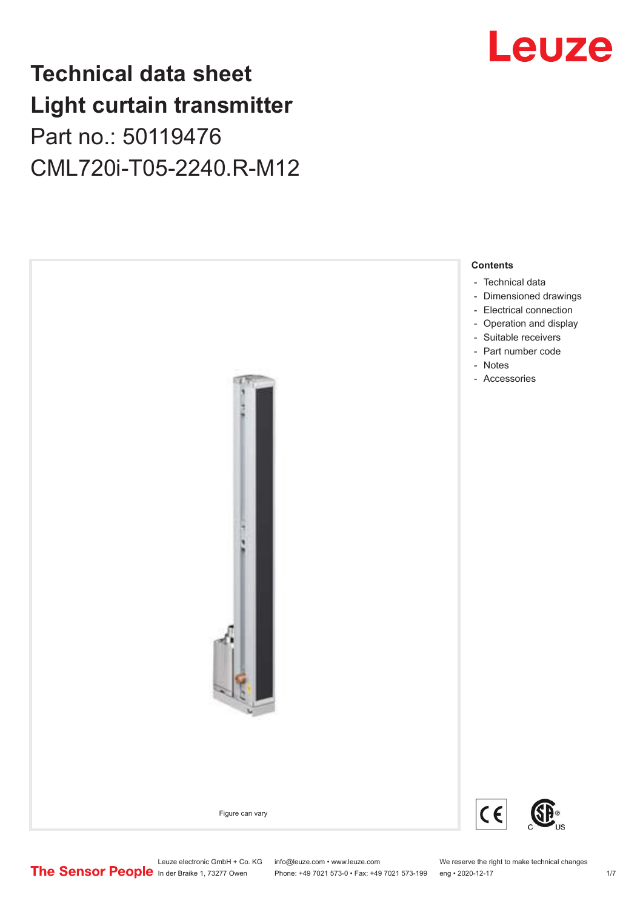## **Technical data sheet Light curtain transmitter** Part no.: 50119476 CML720i-T05-2240.R-M12





Phone: +49 7021 573-0 • Fax: +49 7021 573-199 eng • 2020-12-17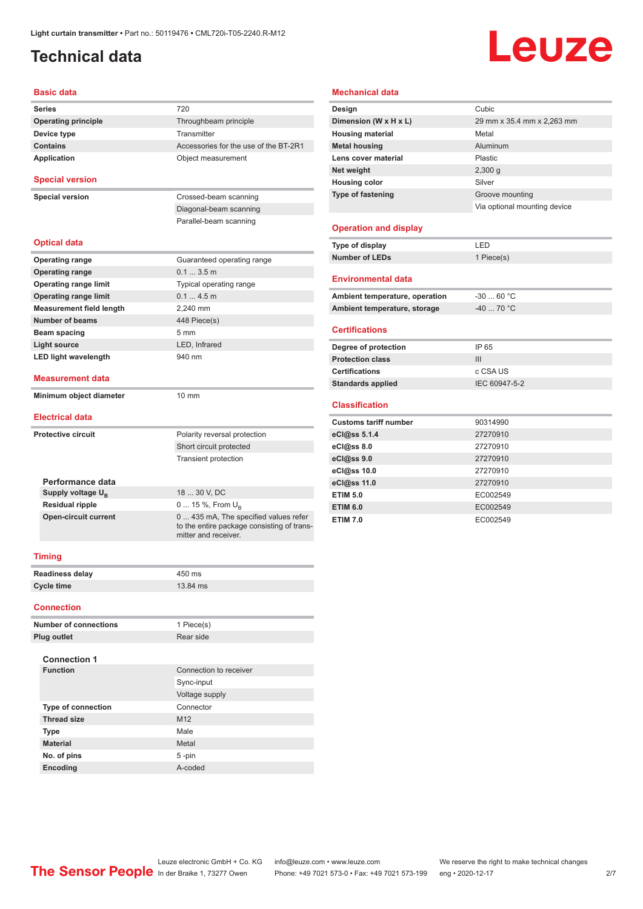## <span id="page-1-0"></span>**Technical data**

# Leuze

#### **Basic data**

| <b>Series</b>                   | 720                                                                                                         |  |  |  |
|---------------------------------|-------------------------------------------------------------------------------------------------------------|--|--|--|
| <b>Operating principle</b>      | Throughbeam principle                                                                                       |  |  |  |
| Device type                     | Transmitter                                                                                                 |  |  |  |
| <b>Contains</b>                 | Accessories for the use of the BT-2R1                                                                       |  |  |  |
| <b>Application</b>              | Object measurement                                                                                          |  |  |  |
|                                 |                                                                                                             |  |  |  |
| <b>Special version</b>          |                                                                                                             |  |  |  |
| <b>Special version</b>          | Crossed-beam scanning                                                                                       |  |  |  |
|                                 | Diagonal-beam scanning                                                                                      |  |  |  |
|                                 | Parallel-beam scanning                                                                                      |  |  |  |
|                                 |                                                                                                             |  |  |  |
| <b>Optical data</b>             |                                                                                                             |  |  |  |
| <b>Operating range</b>          | Guaranteed operating range                                                                                  |  |  |  |
| <b>Operating range</b>          | 0.13.5m                                                                                                     |  |  |  |
| <b>Operating range limit</b>    | Typical operating range                                                                                     |  |  |  |
| <b>Operating range limit</b>    | 0.14.5m                                                                                                     |  |  |  |
| <b>Measurement field length</b> | 2.240 mm                                                                                                    |  |  |  |
| <b>Number of beams</b>          | 448 Piece(s)                                                                                                |  |  |  |
| Beam spacing                    | $5 \text{ mm}$                                                                                              |  |  |  |
| Light source                    | LED, Infrared                                                                                               |  |  |  |
| <b>LED light wavelength</b>     | 940 nm                                                                                                      |  |  |  |
|                                 |                                                                                                             |  |  |  |
| <b>Measurement data</b>         |                                                                                                             |  |  |  |
| Minimum object diameter         | $10 \text{ mm}$                                                                                             |  |  |  |
|                                 |                                                                                                             |  |  |  |
| <b>Electrical data</b>          |                                                                                                             |  |  |  |
| Protective circuit              | Polarity reversal protection                                                                                |  |  |  |
|                                 | Short circuit protected                                                                                     |  |  |  |
|                                 | <b>Transient protection</b>                                                                                 |  |  |  |
|                                 |                                                                                                             |  |  |  |
| Performance data                |                                                                                                             |  |  |  |
| Supply voltage U <sub>R</sub>   | 18  30 V, DC                                                                                                |  |  |  |
| <b>Residual ripple</b>          | 0  15 %, From $U_B$                                                                                         |  |  |  |
| <b>Open-circuit current</b>     | 0  435 mA, The specified values refer<br>to the entire package consisting of trans-<br>mitter and receiver. |  |  |  |
|                                 |                                                                                                             |  |  |  |
| <b>Timing</b>                   |                                                                                                             |  |  |  |
| <b>Readiness delay</b>          | 450 ms                                                                                                      |  |  |  |
| <b>Cycle time</b>               | 13.84 ms                                                                                                    |  |  |  |
|                                 |                                                                                                             |  |  |  |

#### **Connection**

| <b>Number of connections</b> | 1 Piece(s)             |
|------------------------------|------------------------|
| <b>Plug outlet</b>           | Rear side              |
| <b>Connection 1</b>          |                        |
| <b>Function</b>              | Connection to receiver |
|                              | Sync-input             |
|                              | Voltage supply         |
| <b>Type of connection</b>    | Connector              |
| <b>Thread size</b>           | M <sub>12</sub>        |
| <b>Type</b>                  | Male                   |
| <b>Material</b>              | Metal                  |
| No. of pins                  | $5 - pin$              |
| Encoding                     | A-coded                |

#### **Mechanical data**

| Design                       | Cubic                        |
|------------------------------|------------------------------|
| Dimension (W x H x L)        | 29 mm x 35.4 mm x 2,263 mm   |
| <b>Housing material</b>      | Metal                        |
| <b>Metal housing</b>         | Aluminum                     |
| Lens cover material          | Plastic                      |
| Net weight                   | 2,300q                       |
| <b>Housing color</b>         | Silver                       |
| <b>Type of fastening</b>     | Groove mounting              |
|                              | Via optional mounting device |
| <b>Operation and display</b> |                              |
| Type of display              | LED                          |
| <b>Number of LEDs</b>        | 1 Piece(s)                   |
| <b>Environmental data</b>    |                              |

| Ambient temperature, operation | -30  60 °C |
|--------------------------------|------------|
| Ambient temperature, storage   | -40  70 °C |
|                                |            |

#### **Certifications**

| IP 65         |
|---------------|
| Ш             |
| c CSA US      |
| IEC 60947-5-2 |
|               |

#### **Classification**

| <b>Customs tariff number</b> | 90314990 |
|------------------------------|----------|
| eCl@ss 5.1.4                 | 27270910 |
| eCl@ss 8.0                   | 27270910 |
| eCl@ss 9.0                   | 27270910 |
| eCl@ss 10.0                  | 27270910 |
| eCl@ss 11.0                  | 27270910 |
| <b>ETIM 5.0</b>              | EC002549 |
| <b>ETIM 6.0</b>              | EC002549 |
| <b>ETIM 7.0</b>              | EC002549 |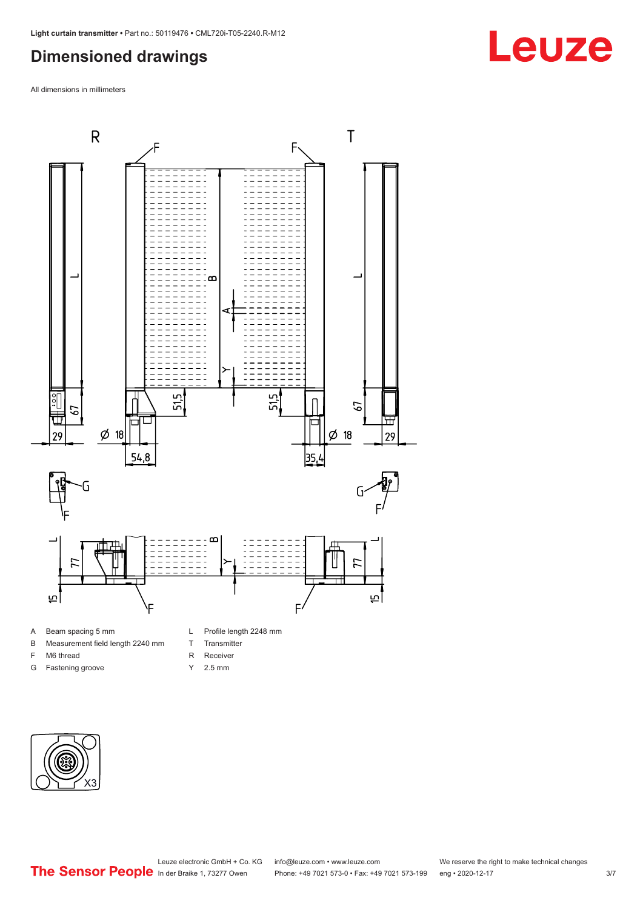### <span id="page-2-0"></span>**Dimensioned drawings**

All dimensions in millimeters



#### A Beam spacing 5 mm

- B Measurement field length 2240 mm
- F M6 thread
- G Fastening groove
- L Profile length 2248 mm
- T Transmitter
- R Receiver
- Y 2.5 mm



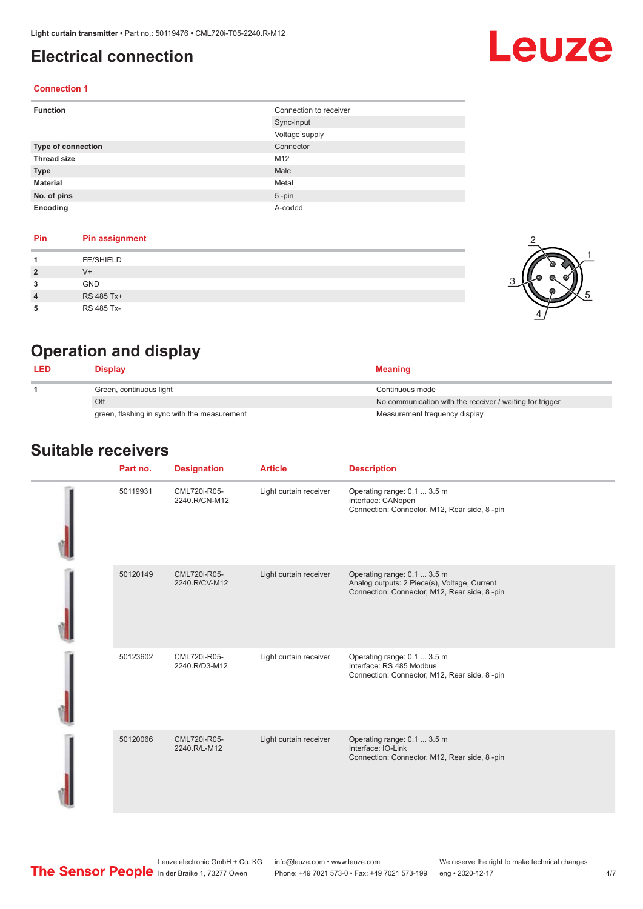### <span id="page-3-0"></span>**Electrical connection**

# Leuze

#### **Connection 1**

| <b>Function</b>    | Connection to receiver |
|--------------------|------------------------|
|                    | Sync-input             |
|                    | Voltage supply         |
| Type of connection | Connector              |
| <b>Thread size</b> | M12                    |
| <b>Type</b>        | Male                   |
| <b>Material</b>    | Metal                  |
| No. of pins        | $5$ -pin               |
| Encoding           | A-coded                |

#### **Pin Pin assignment**

|   | <b>FE/SHIELD</b> |  |
|---|------------------|--|
| 2 | $V +$            |  |
| 3 | <b>GND</b>       |  |
| 4 | RS 485 Tx+       |  |
| 5 | RS 485 Tx-       |  |



## **Operation and display**

| <b>LED</b> | <b>Display</b>                               | <b>Meaning</b>                                           |
|------------|----------------------------------------------|----------------------------------------------------------|
|            | Green, continuous light                      | Continuous mode                                          |
|            | Off                                          | No communication with the receiver / waiting for trigger |
|            | green, flashing in sync with the measurement | Measurement frequency display                            |

#### **Suitable receivers**

| Part no. | <b>Designation</b>            | <b>Article</b>         | <b>Description</b>                                                                                                          |
|----------|-------------------------------|------------------------|-----------------------------------------------------------------------------------------------------------------------------|
| 50119931 | CML720i-R05-<br>2240.R/CN-M12 | Light curtain receiver | Operating range: 0.1  3.5 m<br>Interface: CANopen<br>Connection: Connector, M12, Rear side, 8-pin                           |
| 50120149 | CML720i-R05-<br>2240.R/CV-M12 | Light curtain receiver | Operating range: 0.1  3.5 m<br>Analog outputs: 2 Piece(s), Voltage, Current<br>Connection: Connector, M12, Rear side, 8-pin |
| 50123602 | CML720i-R05-<br>2240.R/D3-M12 | Light curtain receiver | Operating range: 0.1  3.5 m<br>Interface: RS 485 Modbus<br>Connection: Connector, M12, Rear side, 8-pin                     |
| 50120066 | CML720i-R05-<br>2240.R/L-M12  | Light curtain receiver | Operating range: 0.1  3.5 m<br>Interface: IO-Link<br>Connection: Connector, M12, Rear side, 8-pin                           |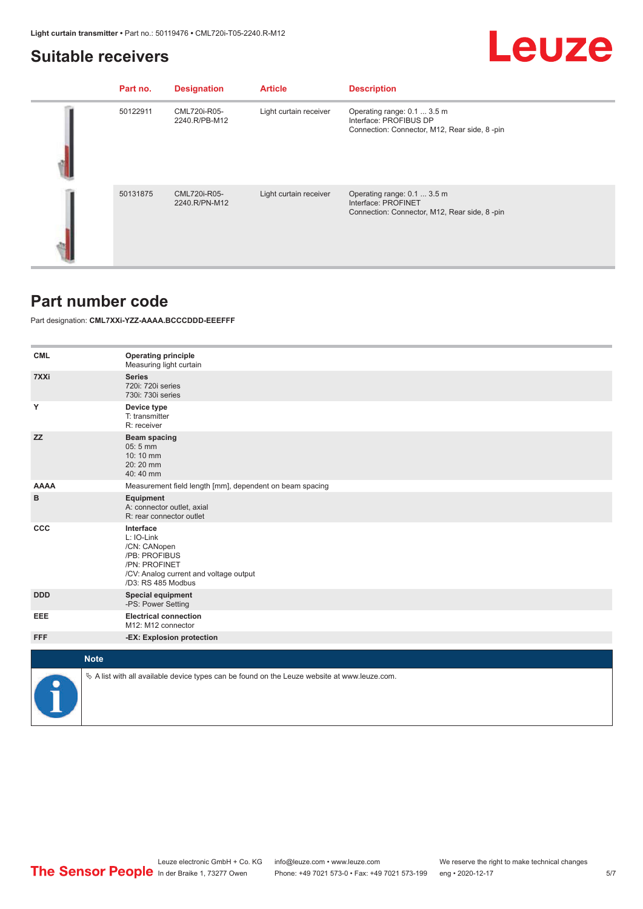#### <span id="page-4-0"></span>**Suitable receivers**

## Leuze

| Part no. | <b>Designation</b>            | <b>Article</b>         | <b>Description</b>                                                                                    |
|----------|-------------------------------|------------------------|-------------------------------------------------------------------------------------------------------|
| 50122911 | CML720i-R05-<br>2240.R/PB-M12 | Light curtain receiver | Operating range: 0.1  3.5 m<br>Interface: PROFIBUS DP<br>Connection: Connector, M12, Rear side, 8-pin |
| 50131875 | CML720i-R05-<br>2240.R/PN-M12 | Light curtain receiver | Operating range: 0.1  3.5 m<br>Interface: PROFINET<br>Connection: Connector, M12, Rear side, 8-pin    |

#### **Part number code**

Part designation: **CML7XXi-YZZ-AAAA.BCCCDDD-EEEFFF**

| <b>CML</b>  | <b>Operating principle</b><br>Measuring light curtain                                                                                     |
|-------------|-------------------------------------------------------------------------------------------------------------------------------------------|
| 7XXi        | <b>Series</b><br>720i: 720i series<br>730i: 730i series                                                                                   |
| Y           | Device type<br>T: transmitter<br>R: receiver                                                                                              |
| <b>ZZ</b>   | <b>Beam spacing</b><br>05:5 mm<br>10:10 mm<br>$20:20$ mm<br>40:40 mm                                                                      |
| <b>AAAA</b> | Measurement field length [mm], dependent on beam spacing                                                                                  |
| в           | Equipment<br>A: connector outlet, axial<br>R: rear connector outlet                                                                       |
| <b>CCC</b>  | Interface<br>L: IO-Link<br>/CN: CANopen<br>/PB: PROFIBUS<br>/PN: PROFINET<br>/CV: Analog current and voltage output<br>/D3: RS 485 Modbus |
| <b>DDD</b>  | <b>Special equipment</b><br>-PS: Power Setting                                                                                            |
| EEE         | <b>Electrical connection</b><br>M12: M12 connector                                                                                        |
| <b>FFF</b>  | -EX: Explosion protection                                                                                                                 |
|             |                                                                                                                                           |
| <b>Note</b> |                                                                                                                                           |
|             | $\&$ A list with all available device types can be found on the Leuze website at www.leuze.com.                                           |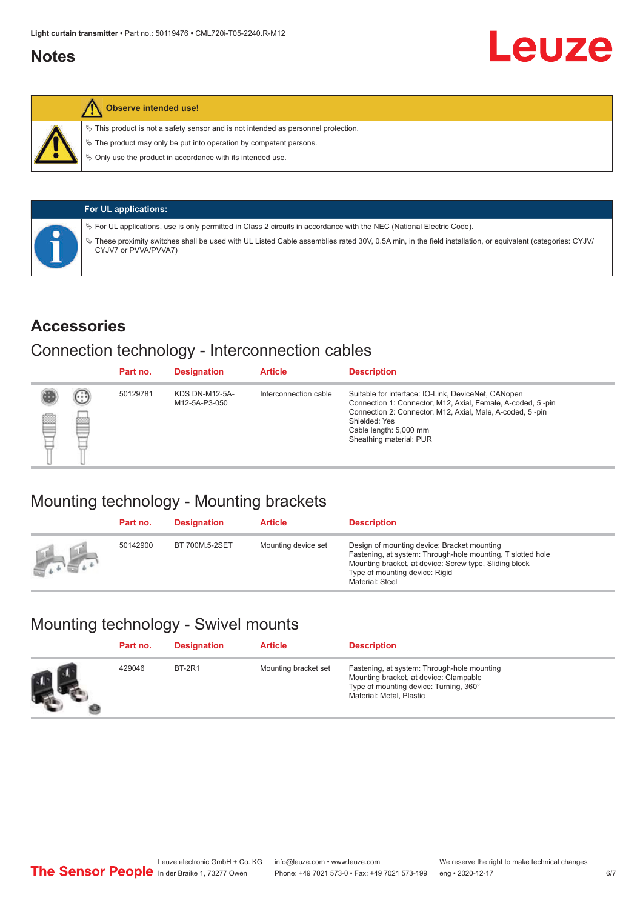### <span id="page-5-0"></span>**Notes**

#### **Observe intended use!**

 $\%$  This product is not a safety sensor and is not intended as personnel protection.

 $\%$  The product may only be put into operation by competent persons.

 $\%$  Only use the product in accordance with its intended use.

| <b>For UL applications:</b>                                                                                                                                                     |
|---------------------------------------------------------------------------------------------------------------------------------------------------------------------------------|
| $\%$ For UL applications, use is only permitted in Class 2 circuits in accordance with the NEC (National Electric Code).                                                        |
| These proximity switches shall be used with UL Listed Cable assemblies rated 30V, 0.5A min, in the field installation, or equivalent (categories: CYJV/<br>CYJV7 or PVVA/PVVA7) |

#### **Accessories**

### Connection technology - Interconnection cables

|   |         | Part no. | <b>Designation</b>                     | <b>Article</b>        | <b>Description</b>                                                                                                                                                                                                                                    |
|---|---------|----------|----------------------------------------|-----------------------|-------------------------------------------------------------------------------------------------------------------------------------------------------------------------------------------------------------------------------------------------------|
| Ø | ⊙<br>p₫ | 50129781 | <b>KDS DN-M12-5A-</b><br>M12-5A-P3-050 | Interconnection cable | Suitable for interface: IO-Link, DeviceNet, CANopen<br>Connection 1: Connector, M12, Axial, Female, A-coded, 5-pin<br>Connection 2: Connector, M12, Axial, Male, A-coded, 5-pin<br>Shielded: Yes<br>Cable length: 5,000 mm<br>Sheathing material: PUR |

### Mounting technology - Mounting brackets

|               | Part no. | <b>Designation</b> | <b>Article</b>      | <b>Description</b>                                                                                                                                                                                                        |
|---------------|----------|--------------------|---------------------|---------------------------------------------------------------------------------------------------------------------------------------------------------------------------------------------------------------------------|
| <b>Altres</b> | 50142900 | BT 700M.5-2SET     | Mounting device set | Design of mounting device: Bracket mounting<br>Fastening, at system: Through-hole mounting, T slotted hole<br>Mounting bracket, at device: Screw type, Sliding block<br>Type of mounting device: Rigid<br>Material: Steel |

## Mounting technology - Swivel mounts

| Part no. | <b>Designation</b> | <b>Article</b>       | <b>Description</b>                                                                                                                                          |
|----------|--------------------|----------------------|-------------------------------------------------------------------------------------------------------------------------------------------------------------|
| 429046   | <b>BT-2R1</b>      | Mounting bracket set | Fastening, at system: Through-hole mounting<br>Mounting bracket, at device: Clampable<br>Type of mounting device: Turning, 360°<br>Material: Metal, Plastic |

Leuze